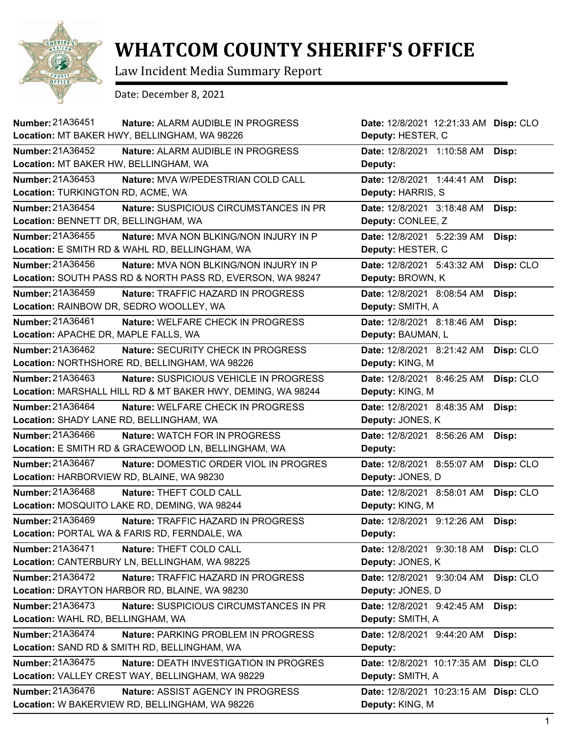

## **WHATCOM COUNTY SHERIFF'S OFFICE**

Law Incident Media Summary Report

Date: December 8, 2021

| Number: 21A36451<br>Nature: ALARM AUDIBLE IN PROGRESS<br>Location: MT BAKER HWY, BELLINGHAM, WA 98226                     | Date: 12/8/2021 12:21:33 AM Disp: CLO<br>Deputy: HESTER, C |           |
|---------------------------------------------------------------------------------------------------------------------------|------------------------------------------------------------|-----------|
| Number: 21A36452<br>Nature: ALARM AUDIBLE IN PROGRESS<br>Location: MT BAKER HW, BELLINGHAM, WA                            | Date: 12/8/2021 1:10:58 AM<br>Deputy:                      | Disp:     |
| Number: 21A36453<br>Nature: MVA W/PEDESTRIAN COLD CALL<br>Location: TURKINGTON RD, ACME, WA                               | Date: 12/8/2021 1:44:41 AM<br>Deputy: HARRIS, S            | Disp:     |
| Number: 21A36454<br>Nature: SUSPICIOUS CIRCUMSTANCES IN PR<br>Location: BENNETT DR, BELLINGHAM, WA                        | Date: 12/8/2021 3:18:48 AM<br>Deputy: CONLEE, Z            | Disp:     |
| Number: 21A36455<br>Nature: MVA NON BLKING/NON INJURY IN P<br>Location: E SMITH RD & WAHL RD, BELLINGHAM, WA              | Date: 12/8/2021 5:22:39 AM<br>Deputy: HESTER, C            | Disp:     |
| Number: 21A36456<br>Nature: MVA NON BLKING/NON INJURY IN P<br>Location: SOUTH PASS RD & NORTH PASS RD, EVERSON, WA 98247  | Date: 12/8/2021 5:43:32 AM<br>Deputy: BROWN, K             | Disp: CLO |
| Number: 21A36459<br><b>Nature: TRAFFIC HAZARD IN PROGRESS</b><br>Location: RAINBOW DR, SEDRO WOOLLEY, WA                  | Date: 12/8/2021 8:08:54 AM<br>Deputy: SMITH, A             | Disp:     |
| Number: 21A36461<br>Nature: WELFARE CHECK IN PROGRESS<br>Location: APACHE DR, MAPLE FALLS, WA                             | Date: 12/8/2021 8:18:46 AM<br>Deputy: BAUMAN, L            | Disp:     |
| Number: 21A36462<br><b>Nature: SECURITY CHECK IN PROGRESS</b><br>Location: NORTHSHORE RD, BELLINGHAM, WA 98226            | Date: 12/8/2021 8:21:42 AM<br>Deputy: KING, M              | Disp: CLO |
| Number: 21A36463<br>Nature: SUSPICIOUS VEHICLE IN PROGRESS<br>Location: MARSHALL HILL RD & MT BAKER HWY, DEMING, WA 98244 | Date: 12/8/2021 8:46:25 AM<br>Deputy: KING, M              | Disp: CLO |
| Number: 21A36464<br><b>Nature: WELFARE CHECK IN PROGRESS</b><br>Location: SHADY LANE RD, BELLINGHAM, WA                   | Date: 12/8/2021 8:48:35 AM<br>Deputy: JONES, K             | Disp:     |
| Number: 21A36466<br><b>Nature: WATCH FOR IN PROGRESS</b><br>Location: E SMITH RD & GRACEWOOD LN, BELLINGHAM, WA           | Date: 12/8/2021 8:56:26 AM<br>Deputy:                      | Disp:     |
| Number: 21A36467<br>Nature: DOMESTIC ORDER VIOL IN PROGRES<br>Location: HARBORVIEW RD, BLAINE, WA 98230                   | Date: 12/8/2021 8:55:07 AM<br>Deputy: JONES, D             | Disp: CLO |
| Number: 21A36468<br>Nature: THEFT COLD CALL<br>Location: MOSQUITO LAKE RD, DEMING, WA 98244                               | Date: 12/8/2021 8:58:01 AM<br>Deputy: KING, M              | Disp: CLO |
| Number: 21A36469<br>Nature: TRAFFIC HAZARD IN PROGRESS<br>Location: PORTAL WA & FARIS RD, FERNDALE, WA                    | Date: 12/8/2021 9:12:26 AM<br>Deputy:                      | Disp:     |
| Number: 21A36471<br>Nature: THEFT COLD CALL<br>Location: CANTERBURY LN, BELLINGHAM, WA 98225                              | Date: 12/8/2021 9:30:18 AM<br>Deputy: JONES, K             | Disp: CLO |
| Number: 21A36472<br>Nature: TRAFFIC HAZARD IN PROGRESS<br>Location: DRAYTON HARBOR RD, BLAINE, WA 98230                   | Date: 12/8/2021 9:30:04 AM<br>Deputy: JONES, D             | Disp: CLO |
| Number: 21A36473<br>Nature: SUSPICIOUS CIRCUMSTANCES IN PR<br>Location: WAHL RD, BELLINGHAM, WA                           | Date: 12/8/2021 9:42:45 AM<br>Deputy: SMITH, A             | Disp:     |
| Number: 21A36474<br>Nature: PARKING PROBLEM IN PROGRESS<br>Location: SAND RD & SMITH RD, BELLINGHAM, WA                   | Date: 12/8/2021 9:44:20 AM<br>Deputy:                      | Disp:     |
| Number: 21A36475<br>Nature: DEATH INVESTIGATION IN PROGRES<br>Location: VALLEY CREST WAY, BELLINGHAM, WA 98229            | Date: 12/8/2021 10:17:35 AM<br>Deputy: SMITH, A            | Disp: CLO |
| Number: 21A36476<br>Nature: ASSIST AGENCY IN PROGRESS<br>Location: W BAKERVIEW RD, BELLINGHAM, WA 98226                   | Date: 12/8/2021 10:23:15 AM Disp: CLO<br>Deputy: KING, M   |           |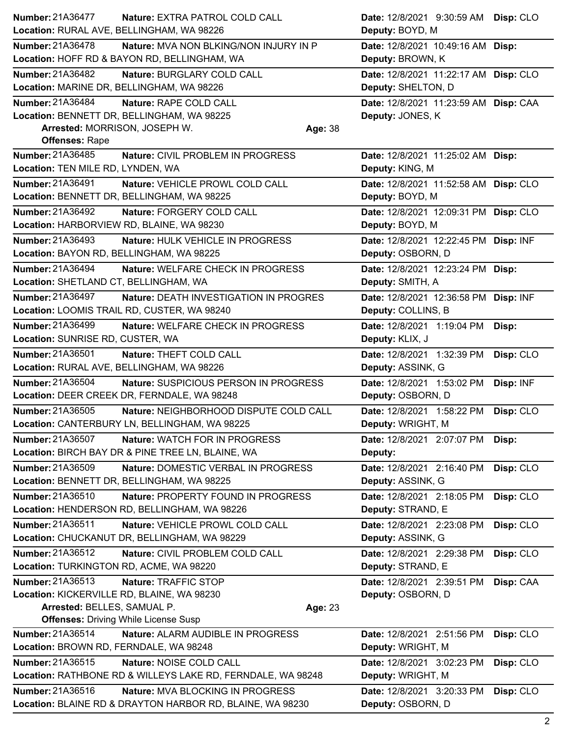| <b>Number: 21A36477</b>                     | Nature: EXTRA PATROL COLD CALL                                                         |         | Date: 12/8/2021 9:30:59 AM Disp: CLO                        |           |
|---------------------------------------------|----------------------------------------------------------------------------------------|---------|-------------------------------------------------------------|-----------|
| Location: RURAL AVE, BELLINGHAM, WA 98226   |                                                                                        |         | Deputy: BOYD, M                                             |           |
| <b>Number: 21A36478</b>                     | Nature: MVA NON BLKING/NON INJURY IN P<br>Location: HOFF RD & BAYON RD, BELLINGHAM, WA |         | Date: 12/8/2021 10:49:16 AM Disp:<br>Deputy: BROWN, K       |           |
| Number: 21A36482                            |                                                                                        |         |                                                             |           |
| Location: MARINE DR, BELLINGHAM, WA 98226   | Nature: BURGLARY COLD CALL                                                             |         | Date: 12/8/2021 11:22:17 AM Disp: CLO<br>Deputy: SHELTON, D |           |
| <b>Number: 21A36484</b>                     | Nature: RAPE COLD CALL                                                                 |         | Date: 12/8/2021 11:23:59 AM Disp: CAA                       |           |
| Location: BENNETT DR, BELLINGHAM, WA 98225  |                                                                                        |         | Deputy: JONES, K                                            |           |
| Arrested: MORRISON, JOSEPH W.               |                                                                                        | Age: 38 |                                                             |           |
| <b>Offenses: Rape</b>                       |                                                                                        |         |                                                             |           |
| Number: 21A36485                            | Nature: CIVIL PROBLEM IN PROGRESS                                                      |         | Date: 12/8/2021 11:25:02 AM Disp:                           |           |
| Location: TEN MILE RD, LYNDEN, WA           |                                                                                        |         | Deputy: KING, M                                             |           |
| Number: 21A36491                            | Nature: VEHICLE PROWL COLD CALL                                                        |         | Date: 12/8/2021 11:52:58 AM Disp: CLO                       |           |
| Location: BENNETT DR, BELLINGHAM, WA 98225  |                                                                                        |         | Deputy: BOYD, M                                             |           |
| Number: 21A36492                            | Nature: FORGERY COLD CALL                                                              |         | Date: 12/8/2021 12:09:31 PM Disp: CLO                       |           |
| Location: HARBORVIEW RD, BLAINE, WA 98230   |                                                                                        |         | Deputy: BOYD, M                                             |           |
| Number: 21A36493                            | Nature: HULK VEHICLE IN PROGRESS                                                       |         | Date: 12/8/2021 12:22:45 PM Disp: INF                       |           |
| Location: BAYON RD, BELLINGHAM, WA 98225    |                                                                                        |         | Deputy: OSBORN, D                                           |           |
| <b>Number: 21A36494</b>                     | Nature: WELFARE CHECK IN PROGRESS                                                      |         | Date: 12/8/2021 12:23:24 PM Disp:                           |           |
| Location: SHETLAND CT, BELLINGHAM, WA       |                                                                                        |         | Deputy: SMITH, A                                            |           |
| <b>Number: 21A36497</b>                     | Nature: DEATH INVESTIGATION IN PROGRES                                                 |         | Date: 12/8/2021 12:36:58 PM Disp: INF                       |           |
| Location: LOOMIS TRAIL RD, CUSTER, WA 98240 |                                                                                        |         | Deputy: COLLINS, B                                          |           |
| <b>Number: 21A36499</b>                     | Nature: WELFARE CHECK IN PROGRESS                                                      |         | Date: 12/8/2021 1:19:04 PM                                  | Disp:     |
| Location: SUNRISE RD, CUSTER, WA            |                                                                                        |         | Deputy: KLIX, J                                             |           |
| Number: 21A36501                            | Nature: THEFT COLD CALL                                                                |         | Date: 12/8/2021 1:32:39 PM                                  | Disp: CLO |
| Location: RURAL AVE, BELLINGHAM, WA 98226   |                                                                                        |         | Deputy: ASSINK, G                                           |           |
| <b>Number: 21A36504</b>                     | Nature: SUSPICIOUS PERSON IN PROGRESS                                                  |         | Date: 12/8/2021 1:53:02 PM                                  | Disp: INF |
|                                             | Location: DEER CREEK DR, FERNDALE, WA 98248                                            |         | Deputy: OSBORN, D                                           |           |
| Number: 21A36505                            | Nature: NEIGHBORHOOD DISPUTE COLD CALL                                                 |         | Date: 12/8/2021 1:58:22 PM                                  | Disp: CLO |
|                                             | Location: CANTERBURY LN, BELLINGHAM, WA 98225                                          |         | Deputy: WRIGHT, M                                           |           |
| Number: 21A36507                            | Nature: WATCH FOR IN PROGRESS                                                          |         | Date: 12/8/2021 2:07:07 PM                                  | Disp:     |
|                                             | Location: BIRCH BAY DR & PINE TREE LN, BLAINE, WA                                      |         | Deputy:                                                     |           |
| Number: 21A36509                            | Nature: DOMESTIC VERBAL IN PROGRESS                                                    |         | Date: 12/8/2021 2:16:40 PM                                  | Disp: CLO |
| Location: BENNETT DR, BELLINGHAM, WA 98225  |                                                                                        |         | Deputy: ASSINK, G                                           |           |
| Number: 21A36510                            | Nature: PROPERTY FOUND IN PROGRESS                                                     |         | Date: 12/8/2021 2:18:05 PM                                  | Disp: CLO |
|                                             | Location: HENDERSON RD, BELLINGHAM, WA 98226                                           |         | Deputy: STRAND, E                                           |           |
| Number: 21A36511                            | Nature: VEHICLE PROWL COLD CALL                                                        |         | Date: 12/8/2021 2:23:08 PM                                  | Disp: CLO |
|                                             | Location: CHUCKANUT DR, BELLINGHAM, WA 98229                                           |         | Deputy: ASSINK, G                                           |           |
| Number: 21A36512                            | Nature: CIVIL PROBLEM COLD CALL                                                        |         | Date: 12/8/2021 2:29:38 PM                                  | Disp: CLO |
| Location: TURKINGTON RD, ACME, WA 98220     |                                                                                        |         | Deputy: STRAND, E                                           |           |
| Number: 21A36513                            | Nature: TRAFFIC STOP                                                                   |         | Date: 12/8/2021 2:39:51 PM                                  | Disp: CAA |
| Location: KICKERVILLE RD, BLAINE, WA 98230  |                                                                                        |         | Deputy: OSBORN, D                                           |           |
| Arrested: BELLES, SAMUAL P.                 |                                                                                        | Age: 23 |                                                             |           |
| <b>Offenses: Driving While License Susp</b> |                                                                                        |         |                                                             |           |
| Number: 21A36514                            | Nature: ALARM AUDIBLE IN PROGRESS                                                      |         | Date: 12/8/2021 2:51:56 PM                                  | Disp: CLO |
| Location: BROWN RD, FERNDALE, WA 98248      |                                                                                        |         | Deputy: WRIGHT, M                                           |           |
| Number: 21A36515                            | Nature: NOISE COLD CALL                                                                |         | Date: 12/8/2021 3:02:23 PM                                  | Disp: CLO |
|                                             | Location: RATHBONE RD & WILLEYS LAKE RD, FERNDALE, WA 98248                            |         | Deputy: WRIGHT, M                                           |           |
| Number: 21A36516                            | Nature: MVA BLOCKING IN PROGRESS                                                       |         | Date: 12/8/2021 3:20:33 PM                                  | Disp: CLO |
|                                             | Location: BLAINE RD & DRAYTON HARBOR RD, BLAINE, WA 98230                              |         | Deputy: OSBORN, D                                           |           |